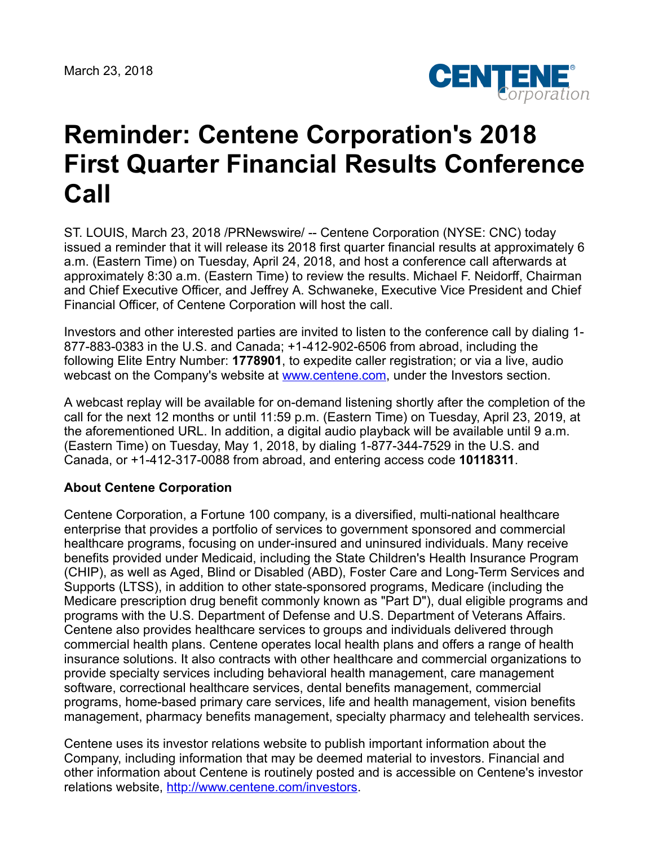March 23, 2018



## **Reminder: Centene Corporation's 2018 First Quarter Financial Results Conference Call**

ST. LOUIS, March 23, 2018 /PRNewswire/ -- Centene Corporation (NYSE: CNC) today issued a reminder that it will release its 2018 first quarter financial results at approximately 6 a.m. (Eastern Time) on Tuesday, April 24, 2018, and host a conference call afterwards at approximately 8:30 a.m. (Eastern Time) to review the results. Michael F. Neidorff, Chairman and Chief Executive Officer, and Jeffrey A. Schwaneke, Executive Vice President and Chief Financial Officer, of Centene Corporation will host the call.

Investors and other interested parties are invited to listen to the conference call by dialing 1- 877-883-0383 in the U.S. and Canada; +1-412-902-6506 from abroad, including the following Elite Entry Number: **1778901**, to expedite caller registration; or via a live, audio webcast on the Company's website at [www.centene.com,](http://www.centene.com/) under the Investors section.

A webcast replay will be available for on-demand listening shortly after the completion of the call for the next 12 months or until 11:59 p.m. (Eastern Time) on Tuesday, April 23, 2019, at the aforementioned URL. In addition, a digital audio playback will be available until 9 a.m. (Eastern Time) on Tuesday, May 1, 2018, by dialing 1-877-344-7529 in the U.S. and Canada, or +1-412-317-0088 from abroad, and entering access code **10118311**.

## **About Centene Corporation**

Centene Corporation, a Fortune 100 company, is a diversified, multi-national healthcare enterprise that provides a portfolio of services to government sponsored and commercial healthcare programs, focusing on under-insured and uninsured individuals. Many receive benefits provided under Medicaid, including the State Children's Health Insurance Program (CHIP), as well as Aged, Blind or Disabled (ABD), Foster Care and Long-Term Services and Supports (LTSS), in addition to other state-sponsored programs, Medicare (including the Medicare prescription drug benefit commonly known as "Part D"), dual eligible programs and programs with the U.S. Department of Defense and U.S. Department of Veterans Affairs. Centene also provides healthcare services to groups and individuals delivered through commercial health plans. Centene operates local health plans and offers a range of health insurance solutions. It also contracts with other healthcare and commercial organizations to provide specialty services including behavioral health management, care management software, correctional healthcare services, dental benefits management, commercial programs, home-based primary care services, life and health management, vision benefits management, pharmacy benefits management, specialty pharmacy and telehealth services.

Centene uses its investor relations website to publish important information about the Company, including information that may be deemed material to investors. Financial and other information about Centene is routinely posted and is accessible on Centene's investor relations website, <http://www.centene.com/investors>.